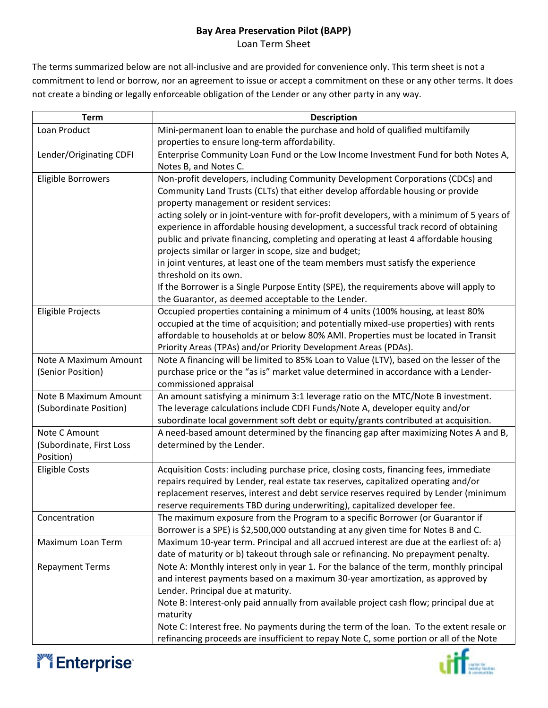## **Bay Area Preservation Pilot (BAPP)**

Loan Term Sheet

The terms summarized below are not all-inclusive and are provided for convenience only. This term sheet is not a commitment to lend or borrow, nor an agreement to issue or accept a commitment on these or any other terms. It does not create a binding or legally enforceable obligation of the Lender or any other party in any way.

| <b>Term</b>              | <b>Description</b>                                                                         |
|--------------------------|--------------------------------------------------------------------------------------------|
| Loan Product             | Mini-permanent loan to enable the purchase and hold of qualified multifamily               |
|                          | properties to ensure long-term affordability.                                              |
| Lender/Originating CDFI  | Enterprise Community Loan Fund or the Low Income Investment Fund for both Notes A,         |
|                          | Notes B, and Notes C.                                                                      |
| Eligible Borrowers       | Non-profit developers, including Community Development Corporations (CDCs) and             |
|                          | Community Land Trusts (CLTs) that either develop affordable housing or provide             |
|                          | property management or resident services:                                                  |
|                          | acting solely or in joint-venture with for-profit developers, with a minimum of 5 years of |
|                          | experience in affordable housing development, a successful track record of obtaining       |
|                          | public and private financing, completing and operating at least 4 affordable housing       |
|                          | projects similar or larger in scope, size and budget;                                      |
|                          | in joint ventures, at least one of the team members must satisfy the experience            |
|                          | threshold on its own.                                                                      |
|                          | If the Borrower is a Single Purpose Entity (SPE), the requirements above will apply to     |
|                          | the Guarantor, as deemed acceptable to the Lender.                                         |
| <b>Eligible Projects</b> | Occupied properties containing a minimum of 4 units (100% housing, at least 80%            |
|                          | occupied at the time of acquisition; and potentially mixed-use properties) with rents      |
|                          | affordable to households at or below 80% AMI. Properties must be located in Transit        |
|                          | Priority Areas (TPAs) and/or Priority Development Areas (PDAs).                            |
| Note A Maximum Amount    | Note A financing will be limited to 85% Loan to Value (LTV), based on the lesser of the    |
| (Senior Position)        | purchase price or the "as is" market value determined in accordance with a Lender-         |
|                          | commissioned appraisal                                                                     |
| Note B Maximum Amount    | An amount satisfying a minimum 3:1 leverage ratio on the MTC/Note B investment.            |
| (Subordinate Position)   | The leverage calculations include CDFI Funds/Note A, developer equity and/or               |
|                          | subordinate local government soft debt or equity/grants contributed at acquisition.        |
| Note C Amount            | A need-based amount determined by the financing gap after maximizing Notes A and B,        |
| (Subordinate, First Loss | determined by the Lender.                                                                  |
| Position)                |                                                                                            |
| <b>Eligible Costs</b>    | Acquisition Costs: including purchase price, closing costs, financing fees, immediate      |
|                          | repairs required by Lender, real estate tax reserves, capitalized operating and/or         |
|                          | replacement reserves, interest and debt service reserves required by Lender (minimum       |
|                          | reserve requirements TBD during underwriting), capitalized developer fee.                  |
| Concentration            | The maximum exposure from the Program to a specific Borrower (or Guarantor if              |
|                          | Borrower is a SPE) is \$2,500,000 outstanding at any given time for Notes B and C.         |
| Maximum Loan Term        | Maximum 10-year term. Principal and all accrued interest are due at the earliest of: a)    |
|                          | date of maturity or b) takeout through sale or refinancing. No prepayment penalty.         |
| <b>Repayment Terms</b>   | Note A: Monthly interest only in year 1. For the balance of the term, monthly principal    |
|                          | and interest payments based on a maximum 30-year amortization, as approved by              |
|                          | Lender. Principal due at maturity.                                                         |
|                          | Note B: Interest-only paid annually from available project cash flow; principal due at     |
|                          | maturity                                                                                   |
|                          | Note C: Interest free. No payments during the term of the loan. To the extent resale or    |
|                          | refinancing proceeds are insufficient to repay Note C, some portion or all of the Note     |



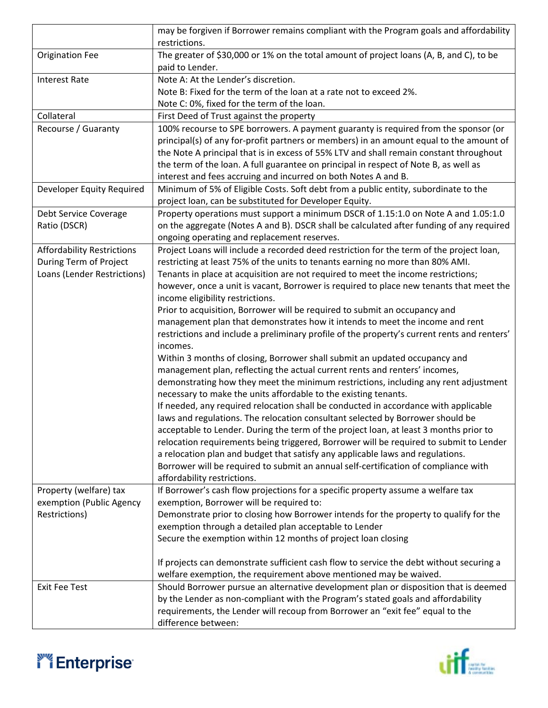|                                   | may be forgiven if Borrower remains compliant with the Program goals and affordability                     |
|-----------------------------------|------------------------------------------------------------------------------------------------------------|
|                                   | restrictions.                                                                                              |
| <b>Origination Fee</b>            | The greater of \$30,000 or 1% on the total amount of project loans (A, B, and C), to be<br>paid to Lender. |
| <b>Interest Rate</b>              | Note A: At the Lender's discretion.                                                                        |
|                                   | Note B: Fixed for the term of the loan at a rate not to exceed 2%.                                         |
|                                   |                                                                                                            |
|                                   | Note C: 0%, fixed for the term of the loan.                                                                |
| Collateral                        | First Deed of Trust against the property                                                                   |
| Recourse / Guaranty               | 100% recourse to SPE borrowers. A payment guaranty is required from the sponsor (or                        |
|                                   | principal(s) of any for-profit partners or members) in an amount equal to the amount of                    |
|                                   | the Note A principal that is in excess of 55% LTV and shall remain constant throughout                     |
|                                   | the term of the loan. A full guarantee on principal in respect of Note B, as well as                       |
|                                   | interest and fees accruing and incurred on both Notes A and B.                                             |
| Developer Equity Required         | Minimum of 5% of Eligible Costs. Soft debt from a public entity, subordinate to the                        |
|                                   | project loan, can be substituted for Developer Equity.                                                     |
| Debt Service Coverage             | Property operations must support a minimum DSCR of 1.15:1.0 on Note A and 1.05:1.0                         |
| Ratio (DSCR)                      | on the aggregate (Notes A and B). DSCR shall be calculated after funding of any required                   |
|                                   | ongoing operating and replacement reserves.                                                                |
| <b>Affordability Restrictions</b> | Project Loans will include a recorded deed restriction for the term of the project loan,                   |
| During Term of Project            | restricting at least 75% of the units to tenants earning no more than 80% AMI.                             |
| Loans (Lender Restrictions)       | Tenants in place at acquisition are not required to meet the income restrictions;                          |
|                                   | however, once a unit is vacant, Borrower is required to place new tenants that meet the                    |
|                                   | income eligibility restrictions.                                                                           |
|                                   | Prior to acquisition, Borrower will be required to submit an occupancy and                                 |
|                                   | management plan that demonstrates how it intends to meet the income and rent                               |
|                                   | restrictions and include a preliminary profile of the property's current rents and renters'                |
|                                   | incomes.                                                                                                   |
|                                   | Within 3 months of closing, Borrower shall submit an updated occupancy and                                 |
|                                   | management plan, reflecting the actual current rents and renters' incomes,                                 |
|                                   | demonstrating how they meet the minimum restrictions, including any rent adjustment                        |
|                                   | necessary to make the units affordable to the existing tenants.                                            |
|                                   | If needed, any required relocation shall be conducted in accordance with applicable                        |
|                                   | laws and regulations. The relocation consultant selected by Borrower should be                             |
|                                   | acceptable to Lender. During the term of the project loan, at least 3 months prior to                      |
|                                   | relocation requirements being triggered, Borrower will be required to submit to Lender                     |
|                                   | a relocation plan and budget that satisfy any applicable laws and regulations.                             |
|                                   | Borrower will be required to submit an annual self-certification of compliance with                        |
|                                   | affordability restrictions.                                                                                |
| Property (welfare) tax            | If Borrower's cash flow projections for a specific property assume a welfare tax                           |
| exemption (Public Agency          | exemption, Borrower will be required to:                                                                   |
| Restrictions)                     | Demonstrate prior to closing how Borrower intends for the property to qualify for the                      |
|                                   | exemption through a detailed plan acceptable to Lender                                                     |
|                                   | Secure the exemption within 12 months of project loan closing                                              |
|                                   | If projects can demonstrate sufficient cash flow to service the debt without securing a                    |
|                                   | welfare exemption, the requirement above mentioned may be waived.                                          |
| <b>Exit Fee Test</b>              | Should Borrower pursue an alternative development plan or disposition that is deemed                       |
|                                   | by the Lender as non-compliant with the Program's stated goals and affordability                           |
|                                   | requirements, the Lender will recoup from Borrower an "exit fee" equal to the                              |
|                                   | difference between:                                                                                        |
|                                   |                                                                                                            |